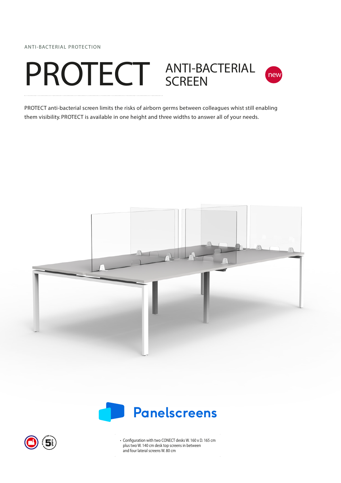ANTI-BACTERIAL PROTECTION





PROTECT anti-bacterial screen limits the risks of airborn germs between colleagues whist still enabling them visibility. PROTECT is available in one height and three widths to answer all of your needs.







• Configuration with two CONECT desks W. 160 x D. 165 cm plus two W. 140 cm desk top screens in between and four lateral screens W. 80 cm